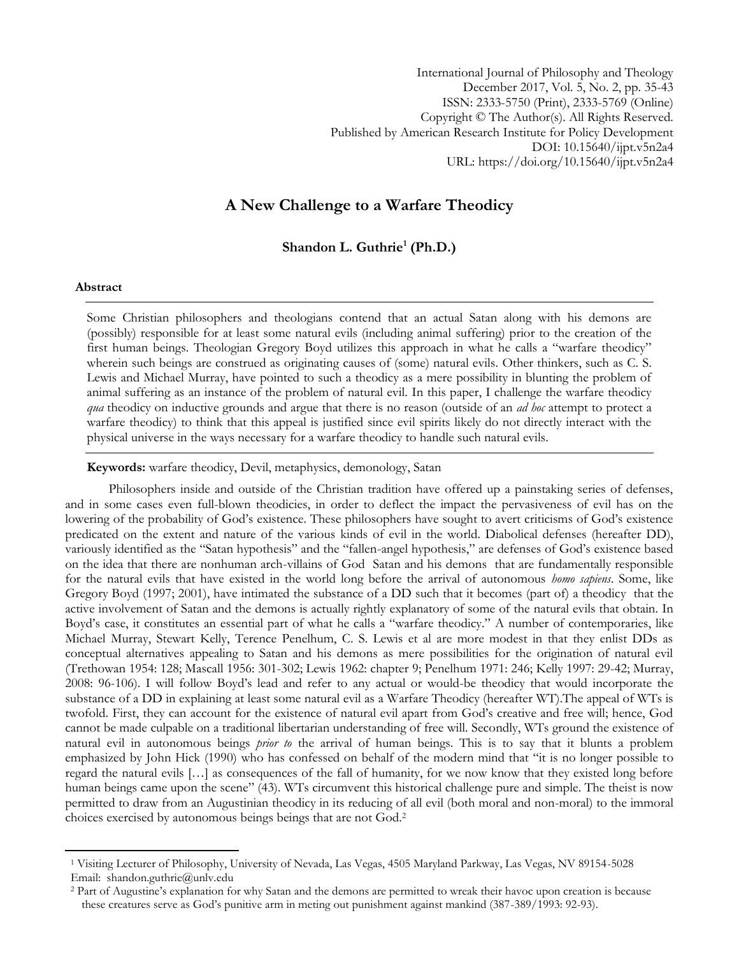International Journal of Philosophy and Theology December 2017, Vol. 5, No. 2, pp. 35-43 ISSN: 2333-5750 (Print), 2333-5769 (Online) Copyright © The Author(s). All Rights Reserved. Published by American Research Institute for Policy Development DOI: 10.15640/ijpt.v5n2a4 URL: https://doi.org/10.15640/ijpt.v5n2a4

# **A New Challenge to a Warfare Theodicy**

**Shandon L. Guthrie<sup>1</sup> (Ph.D.)**

#### **Abstract**

 $\overline{a}$ 

Some Christian philosophers and theologians contend that an actual Satan along with his demons are (possibly) responsible for at least some natural evils (including animal suffering) prior to the creation of the first human beings. Theologian Gregory Boyd utilizes this approach in what he calls a "warfare theodicy" wherein such beings are construed as originating causes of (some) natural evils. Other thinkers, such as C. S. Lewis and Michael Murray, have pointed to such a theodicy as a mere possibility in blunting the problem of animal suffering as an instance of the problem of natural evil. In this paper, I challenge the warfare theodicy *qua* theodicy on inductive grounds and argue that there is no reason (outside of an *ad hoc* attempt to protect a warfare theodicy) to think that this appeal is justified since evil spirits likely do not directly interact with the physical universe in the ways necessary for a warfare theodicy to handle such natural evils.

#### **Keywords:** warfare theodicy, Devil, metaphysics, demonology, Satan

Philosophers inside and outside of the Christian tradition have offered up a painstaking series of defenses, and in some cases even full-blown theodicies, in order to deflect the impact the pervasiveness of evil has on the lowering of the probability of God"s existence. These philosophers have sought to avert criticisms of God"s existence predicated on the extent and nature of the various kinds of evil in the world. Diabolical defenses (hereafter DD), variously identified as the "Satan hypothesis" and the "fallen-angel hypothesis," are defenses of God"s existence based on the idea that there are nonhuman arch-villains of God Satan and his demons that are fundamentally responsible for the natural evils that have existed in the world long before the arrival of autonomous *homo sapiens*. Some, like Gregory Boyd (1997; 2001), have intimated the substance of a DD such that it becomes (part of) a theodicy that the active involvement of Satan and the demons is actually rightly explanatory of some of the natural evils that obtain. In Boyd"s case, it constitutes an essential part of what he calls a "warfare theodicy." A number of contemporaries, like Michael Murray, Stewart Kelly, Terence Penelhum, C. S. Lewis et al are more modest in that they enlist DDs as conceptual alternatives appealing to Satan and his demons as mere possibilities for the origination of natural evil (Trethowan 1954: 128; Mascall 1956: 301-302; Lewis 1962: chapter 9; Penelhum 1971: 246; Kelly 1997: 29-42; Murray, 2008: 96-106). I will follow Boyd"s lead and refer to any actual or would-be theodicy that would incorporate the substance of a DD in explaining at least some natural evil as a Warfare Theodicy (hereafter WT).The appeal of WTs is twofold. First, they can account for the existence of natural evil apart from God"s creative and free will; hence, God cannot be made culpable on a traditional libertarian understanding of free will. Secondly, WTs ground the existence of natural evil in autonomous beings *prior to* the arrival of human beings. This is to say that it blunts a problem emphasized by John Hick (1990) who has confessed on behalf of the modern mind that "it is no longer possible to regard the natural evils […] as consequences of the fall of humanity, for we now know that they existed long before human beings came upon the scene" (43). WTs circumvent this historical challenge pure and simple. The theist is now permitted to draw from an Augustinian theodicy in its reducing of all evil (both moral and non-moral) to the immoral choices exercised by autonomous beings beings that are not God.<sup>2</sup>

<sup>1</sup> Visiting Lecturer of Philosophy, University of Nevada, Las Vegas, 4505 Maryland Parkway, Las Vegas, NV 89154-5028 Email: shandon.guthrie@unlv.edu

<sup>&</sup>lt;sup>2</sup> Part of Augustine's explanation for why Satan and the demons are permitted to wreak their havoc upon creation is because these creatures serve as God"s punitive arm in meting out punishment against mankind (387-389/1993: 92-93).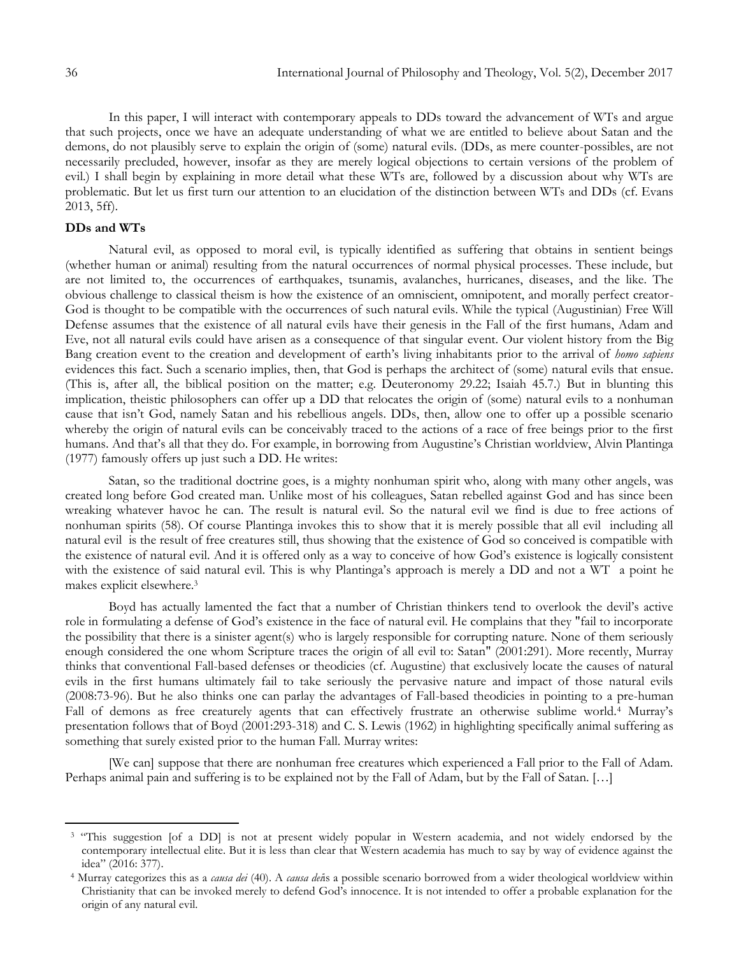$\overline{a}$ 

In this paper, I will interact with contemporary appeals to DDs toward the advancement of WTs and argue that such projects, once we have an adequate understanding of what we are entitled to believe about Satan and the demons, do not plausibly serve to explain the origin of (some) natural evils. (DDs, as mere counter-possibles, are not necessarily precluded, however, insofar as they are merely logical objections to certain versions of the problem of evil.) I shall begin by explaining in more detail what these WTs are, followed by a discussion about why WTs are problematic. But let us first turn our attention to an elucidation of the distinction between WTs and DDs (cf. Evans 2013, 5ff).

#### **DDs and WTs**

Natural evil, as opposed to moral evil, is typically identified as suffering that obtains in sentient beings (whether human or animal) resulting from the natural occurrences of normal physical processes. These include, but are not limited to, the occurrences of earthquakes, tsunamis, avalanches, hurricanes, diseases, and the like. The obvious challenge to classical theism is how the existence of an omniscient, omnipotent, and morally perfect creator-God is thought to be compatible with the occurrences of such natural evils. While the typical (Augustinian) Free Will Defense assumes that the existence of all natural evils have their genesis in the Fall of the first humans, Adam and Eve, not all natural evils could have arisen as a consequence of that singular event. Our violent history from the Big Bang creation event to the creation and development of earth"s living inhabitants prior to the arrival of *homo sapiens*  evidences this fact. Such a scenario implies, then, that God is perhaps the architect of (some) natural evils that ensue. (This is, after all, the biblical position on the matter; e.g. Deuteronomy 29.22; Isaiah 45.7.) But in blunting this implication, theistic philosophers can offer up a DD that relocates the origin of (some) natural evils to a nonhuman cause that isn"t God, namely Satan and his rebellious angels. DDs, then, allow one to offer up a possible scenario whereby the origin of natural evils can be conceivably traced to the actions of a race of free beings prior to the first humans. And that's all that they do. For example, in borrowing from Augustine's Christian worldview, Alvin Plantinga (1977) famously offers up just such a DD. He writes:

Satan, so the traditional doctrine goes, is a mighty nonhuman spirit who, along with many other angels, was created long before God created man. Unlike most of his colleagues, Satan rebelled against God and has since been wreaking whatever havoc he can. The result is natural evil. So the natural evil we find is due to free actions of nonhuman spirits (58). Of course Plantinga invokes this to show that it is merely possible that all evil including all natural evil is the result of free creatures still, thus showing that the existence of God so conceived is compatible with the existence of natural evil. And it is offered only as a way to conceive of how God"s existence is logically consistent with the existence of said natural evil. This is why Plantinga's approach is merely a DD and not a WT a point he makes explicit elsewhere.<sup>3</sup>

Boyd has actually lamented the fact that a number of Christian thinkers tend to overlook the devil"s active role in formulating a defense of God"s existence in the face of natural evil. He complains that they "fail to incorporate the possibility that there is a sinister agent(s) who is largely responsible for corrupting nature. None of them seriously enough considered the one whom Scripture traces the origin of all evil to: Satan" (2001:291). More recently, Murray thinks that conventional Fall-based defenses or theodicies (cf. Augustine) that exclusively locate the causes of natural evils in the first humans ultimately fail to take seriously the pervasive nature and impact of those natural evils (2008:73-96). But he also thinks one can parlay the advantages of Fall-based theodicies in pointing to a pre-human Fall of demons as free creaturely agents that can effectively frustrate an otherwise sublime world.<sup>4</sup> Murray's presentation follows that of Boyd (2001:293-318) and C. S. Lewis (1962) in highlighting specifically animal suffering as something that surely existed prior to the human Fall. Murray writes:

[We can] suppose that there are nonhuman free creatures which experienced a Fall prior to the Fall of Adam. Perhaps animal pain and suffering is to be explained not by the Fall of Adam, but by the Fall of Satan. […]

<sup>&</sup>lt;sup>3</sup> "This suggestion [of a DD] is not at present widely popular in Western academia, and not widely endorsed by the contemporary intellectual elite. But it is less than clear that Western academia has much to say by way of evidence against the idea" (2016: 377).

<sup>4</sup> Murray categorizes this as a *causa dei* (40). A *causa dei*is a possible scenario borrowed from a wider theological worldview within Christianity that can be invoked merely to defend God"s innocence. It is not intended to offer a probable explanation for the origin of any natural evil.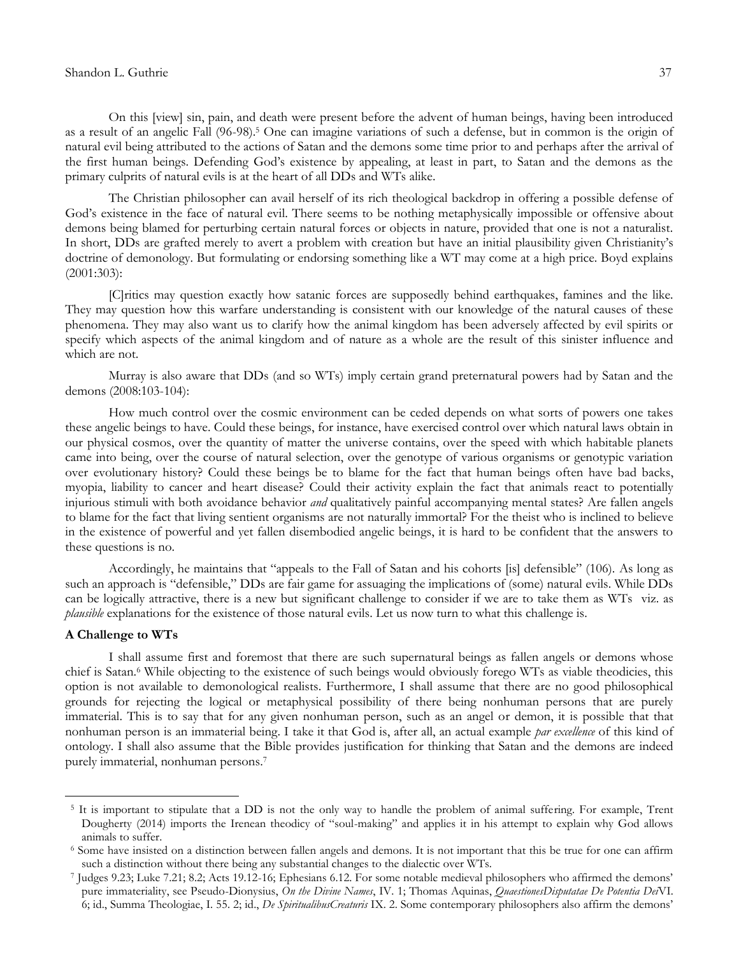### Shandon L. Guthrie 37

On this [view] sin, pain, and death were present before the advent of human beings, having been introduced as a result of an angelic Fall (96-98).<sup>5</sup> One can imagine variations of such a defense, but in common is the origin of natural evil being attributed to the actions of Satan and the demons some time prior to and perhaps after the arrival of the first human beings. Defending God"s existence by appealing, at least in part, to Satan and the demons as the primary culprits of natural evils is at the heart of all DDs and WTs alike.

The Christian philosopher can avail herself of its rich theological backdrop in offering a possible defense of God's existence in the face of natural evil. There seems to be nothing metaphysically impossible or offensive about demons being blamed for perturbing certain natural forces or objects in nature, provided that one is not a naturalist. In short, DDs are grafted merely to avert a problem with creation but have an initial plausibility given Christianity"s doctrine of demonology. But formulating or endorsing something like a WT may come at a high price. Boyd explains (2001:303):

[C]ritics may question exactly how satanic forces are supposedly behind earthquakes, famines and the like. They may question how this warfare understanding is consistent with our knowledge of the natural causes of these phenomena. They may also want us to clarify how the animal kingdom has been adversely affected by evil spirits or specify which aspects of the animal kingdom and of nature as a whole are the result of this sinister influence and which are not.

Murray is also aware that DDs (and so WTs) imply certain grand preternatural powers had by Satan and the demons (2008:103-104):

How much control over the cosmic environment can be ceded depends on what sorts of powers one takes these angelic beings to have. Could these beings, for instance, have exercised control over which natural laws obtain in our physical cosmos, over the quantity of matter the universe contains, over the speed with which habitable planets came into being, over the course of natural selection, over the genotype of various organisms or genotypic variation over evolutionary history? Could these beings be to blame for the fact that human beings often have bad backs, myopia, liability to cancer and heart disease? Could their activity explain the fact that animals react to potentially injurious stimuli with both avoidance behavior *and* qualitatively painful accompanying mental states? Are fallen angels to blame for the fact that living sentient organisms are not naturally immortal? For the theist who is inclined to believe in the existence of powerful and yet fallen disembodied angelic beings, it is hard to be confident that the answers to these questions is no.

Accordingly, he maintains that "appeals to the Fall of Satan and his cohorts [is] defensible" (106). As long as such an approach is "defensible," DDs are fair game for assuaging the implications of (some) natural evils. While DDs can be logically attractive, there is a new but significant challenge to consider if we are to take them as WTs viz. as *plausible* explanations for the existence of those natural evils. Let us now turn to what this challenge is.

# **A Challenge to WTs**

 $\overline{a}$ 

I shall assume first and foremost that there are such supernatural beings as fallen angels or demons whose chief is Satan.<sup>6</sup> While objecting to the existence of such beings would obviously forego WTs as viable theodicies, this option is not available to demonological realists. Furthermore, I shall assume that there are no good philosophical grounds for rejecting the logical or metaphysical possibility of there being nonhuman persons that are purely immaterial. This is to say that for any given nonhuman person, such as an angel or demon, it is possible that that nonhuman person is an immaterial being. I take it that God is, after all, an actual example *par excellence* of this kind of ontology. I shall also assume that the Bible provides justification for thinking that Satan and the demons are indeed purely immaterial, nonhuman persons.<sup>7</sup>

<sup>&</sup>lt;sup>5</sup> It is important to stipulate that a DD is not the only way to handle the problem of animal suffering. For example, Trent Dougherty (2014) imports the Irenean theodicy of "soul-making" and applies it in his attempt to explain why God allows animals to suffer.

<sup>6</sup> Some have insisted on a distinction between fallen angels and demons. It is not important that this be true for one can affirm such a distinction without there being any substantial changes to the dialectic over WTs.

<sup>7</sup> Judges 9.23; Luke 7.21; 8.2; Acts 19.12-16; Ephesians 6.12. For some notable medieval philosophers who affirmed the demons" pure immateriality, see Pseudo-Dionysius, *On the Divine Names*, IV. 1; Thomas Aquinas, *QuaestionesDisputatae De Potentia Dei*VI. 6; id., Summa Theologiae, I. 55. 2; id., *De SpiritualibusCreaturis* IX. 2. Some contemporary philosophers also affirm the demons"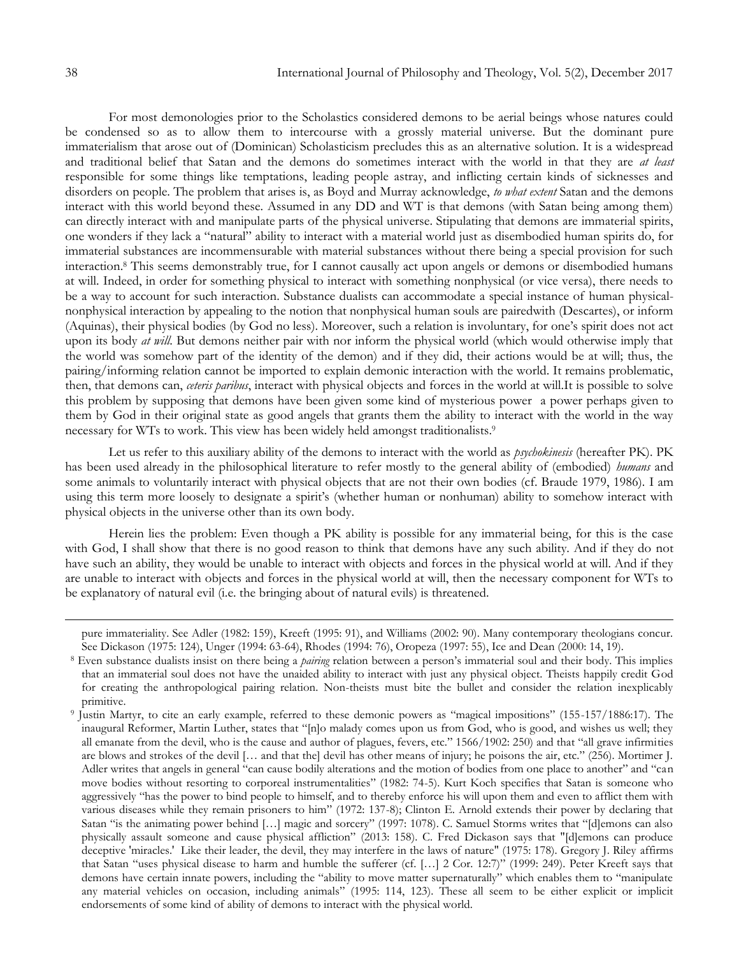For most demonologies prior to the Scholastics considered demons to be aerial beings whose natures could be condensed so as to allow them to intercourse with a grossly material universe. But the dominant pure immaterialism that arose out of (Dominican) Scholasticism precludes this as an alternative solution. It is a widespread and traditional belief that Satan and the demons do sometimes interact with the world in that they are *at least* responsible for some things like temptations, leading people astray, and inflicting certain kinds of sicknesses and disorders on people. The problem that arises is, as Boyd and Murray acknowledge, *to what extent* Satan and the demons interact with this world beyond these. Assumed in any DD and WT is that demons (with Satan being among them) can directly interact with and manipulate parts of the physical universe. Stipulating that demons are immaterial spirits, one wonders if they lack a "natural" ability to interact with a material world just as disembodied human spirits do, for immaterial substances are incommensurable with material substances without there being a special provision for such interaction.<sup>8</sup> This seems demonstrably true, for I cannot causally act upon angels or demons or disembodied humans at will. Indeed, in order for something physical to interact with something nonphysical (or vice versa), there needs to be a way to account for such interaction. Substance dualists can accommodate a special instance of human physicalnonphysical interaction by appealing to the notion that nonphysical human souls are pairedwith (Descartes), or inform (Aquinas), their physical bodies (by God no less). Moreover, such a relation is involuntary, for one"s spirit does not act upon its body *at will*. But demons neither pair with nor inform the physical world (which would otherwise imply that the world was somehow part of the identity of the demon) and if they did, their actions would be at will; thus, the pairing/informing relation cannot be imported to explain demonic interaction with the world. It remains problematic, then, that demons can, *ceteris paribus*, interact with physical objects and forces in the world at will.It is possible to solve this problem by supposing that demons have been given some kind of mysterious power a power perhaps given to them by God in their original state as good angels that grants them the ability to interact with the world in the way necessary for WTs to work. This view has been widely held amongst traditionalists.<sup>9</sup>

Let us refer to this auxiliary ability of the demons to interact with the world as *psychokinesis* (hereafter PK). PK has been used already in the philosophical literature to refer mostly to the general ability of (embodied) *humans* and some animals to voluntarily interact with physical objects that are not their own bodies (cf. Braude 1979, 1986). I am using this term more loosely to designate a spirit's (whether human or nonhuman) ability to somehow interact with physical objects in the universe other than its own body.

Herein lies the problem: Even though a PK ability is possible for any immaterial being, for this is the case with God, I shall show that there is no good reason to think that demons have any such ability. And if they do not have such an ability, they would be unable to interact with objects and forces in the physical world at will. And if they are unable to interact with objects and forces in the physical world at will, then the necessary component for WTs to be explanatory of natural evil (i.e. the bringing about of natural evils) is threatened.

 $\overline{a}$ 

pure immateriality. See Adler (1982: 159), Kreeft (1995: 91), and Williams (2002: 90). Many contemporary theologians concur. See Dickason (1975: 124), Unger (1994: 63-64), Rhodes (1994: 76), Oropeza (1997: 55), Ice and Dean (2000: 14, 19).

<sup>8</sup> Even substance dualists insist on there being a *pairing* relation between a person"s immaterial soul and their body. This implies that an immaterial soul does not have the unaided ability to interact with just any physical object. Theists happily credit God for creating the anthropological pairing relation. Non-theists must bite the bullet and consider the relation inexplicably primitive.

<sup>9</sup> Justin Martyr, to cite an early example, referred to these demonic powers as "magical impositions" (155-157/1886:17). The inaugural Reformer, Martin Luther, states that "[n]o malady comes upon us from God, who is good, and wishes us well; they all emanate from the devil, who is the cause and author of plagues, fevers, etc." 1566/1902: 250) and that "all grave infirmities are blows and strokes of the devil [… and that the] devil has other means of injury; he poisons the air, etc." (256). Mortimer J. Adler writes that angels in general "can cause bodily alterations and the motion of bodies from one place to another" and "can move bodies without resorting to corporeal instrumentalities" (1982: 74-5). Kurt Koch specifies that Satan is someone who aggressively "has the power to bind people to himself, and to thereby enforce his will upon them and even to afflict them with various diseases while they remain prisoners to him" (1972: 137-8); Clinton E. Arnold extends their power by declaring that Satan "is the animating power behind [...] magic and sorcery" (1997: 1078). C. Samuel Storms writes that "[d]emons can also physically assault someone and cause physical affliction" (2013: 158). C. Fred Dickason says that "[d]emons can produce deceptive 'miracles.' Like their leader, the devil, they may interfere in the laws of nature" (1975: 178). Gregory J. Riley affirms that Satan "uses physical disease to harm and humble the sufferer (cf. […] 2 Cor. 12:7)" (1999: 249). Peter Kreeft says that demons have certain innate powers, including the "ability to move matter supernaturally" which enables them to "manipulate any material vehicles on occasion, including animals" (1995: 114, 123). These all seem to be either explicit or implicit endorsements of some kind of ability of demons to interact with the physical world.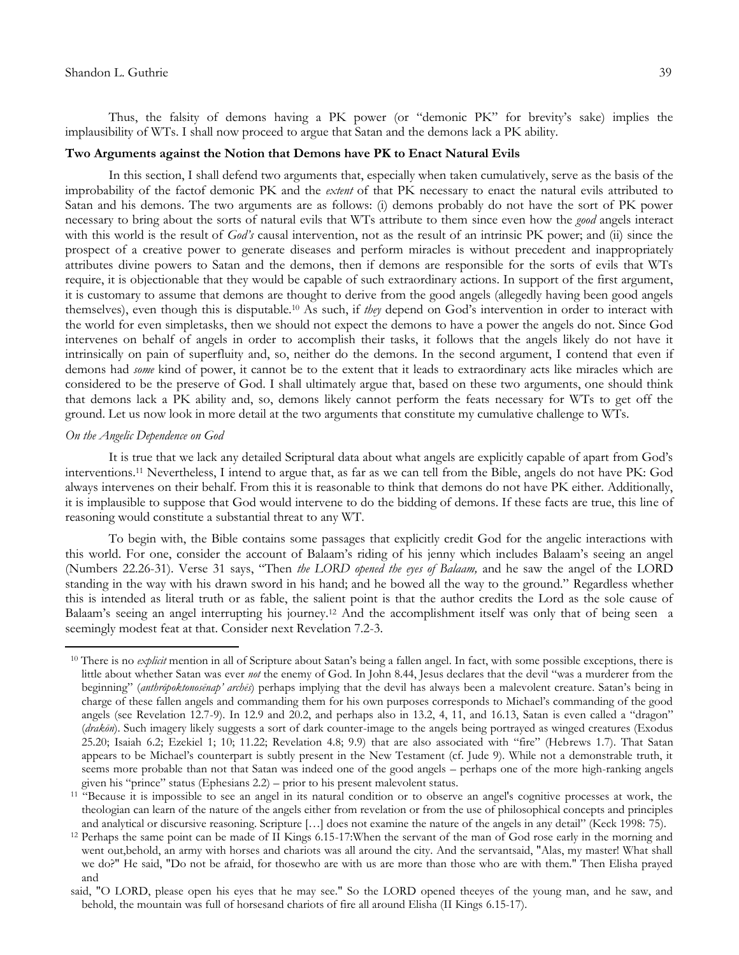Thus, the falsity of demons having a PK power (or "demonic PK" for brevity's sake) implies the implausibility of WTs. I shall now proceed to argue that Satan and the demons lack a PK ability.

### **Two Arguments against the Notion that Demons have PK to Enact Natural Evils**

In this section, I shall defend two arguments that, especially when taken cumulatively, serve as the basis of the improbability of the factof demonic PK and the *extent* of that PK necessary to enact the natural evils attributed to Satan and his demons. The two arguments are as follows: (i) demons probably do not have the sort of PK power necessary to bring about the sorts of natural evils that WTs attribute to them since even how the *good* angels interact with this world is the result of *God's* causal intervention, not as the result of an intrinsic PK power; and (ii) since the prospect of a creative power to generate diseases and perform miracles is without precedent and inappropriately attributes divine powers to Satan and the demons, then if demons are responsible for the sorts of evils that WTs require, it is objectionable that they would be capable of such extraordinary actions. In support of the first argument, it is customary to assume that demons are thought to derive from the good angels (allegedly having been good angels themselves), even though this is disputable.<sup>10</sup> As such, if *they* depend on God"s intervention in order to interact with the world for even simpletasks, then we should not expect the demons to have a power the angels do not. Since God intervenes on behalf of angels in order to accomplish their tasks, it follows that the angels likely do not have it intrinsically on pain of superfluity and, so, neither do the demons. In the second argument, I contend that even if demons had *some* kind of power, it cannot be to the extent that it leads to extraordinary acts like miracles which are considered to be the preserve of God. I shall ultimately argue that, based on these two arguments, one should think that demons lack a PK ability and, so, demons likely cannot perform the feats necessary for WTs to get off the ground. Let us now look in more detail at the two arguments that constitute my cumulative challenge to WTs.

#### *On the Angelic Dependence on God*

 $\overline{a}$ 

It is true that we lack any detailed Scriptural data about what angels are explicitly capable of apart from God"s interventions.<sup>11</sup> Nevertheless, I intend to argue that, as far as we can tell from the Bible, angels do not have PK: God always intervenes on their behalf. From this it is reasonable to think that demons do not have PK either. Additionally, it is implausible to suppose that God would intervene to do the bidding of demons. If these facts are true, this line of reasoning would constitute a substantial threat to any WT.

To begin with, the Bible contains some passages that explicitly credit God for the angelic interactions with this world. For one, consider the account of Balaam"s riding of his jenny which includes Balaam"s seeing an angel (Numbers 22.26-31). Verse 31 says, "Then *the LORD opened the eyes of Balaam,* and he saw the angel of the LORD standing in the way with his drawn sword in his hand; and he bowed all the way to the ground." Regardless whether this is intended as literal truth or as fable, the salient point is that the author credits the Lord as the sole cause of Balaam"s seeing an angel interrupting his journey.<sup>12</sup> And the accomplishment itself was only that of being seen a seemingly modest feat at that. Consider next Revelation 7.2-3.

<sup>&</sup>lt;sup>10</sup> There is no *explicit* mention in all of Scripture about Satan's being a fallen angel. In fact, with some possible exceptions, there is little about whether Satan was ever *not* the enemy of God. In John 8.44, Jesus declares that the devil "was a murderer from the beginning" (*anthrōpoktonosēnap' archēs*) perhaps implying that the devil has always been a malevolent creature. Satan"s being in charge of these fallen angels and commanding them for his own purposes corresponds to Michael"s commanding of the good angels (see Revelation 12.7-9). In 12.9 and 20.2, and perhaps also in 13.2, 4, 11, and 16.13, Satan is even called a "dragon" (*drakōn*). Such imagery likely suggests a sort of dark counter-image to the angels being portrayed as winged creatures (Exodus 25.20; Isaiah 6.2; Ezekiel 1; 10; 11.22; Revelation 4.8; 9.9) that are also associated with "fire" (Hebrews 1.7). That Satan appears to be Michael"s counterpart is subtly present in the New Testament (cf. Jude 9). While not a demonstrable truth, it seems more probable than not that Satan was indeed one of the good angels – perhaps one of the more high-ranking angels given his "prince" status (Ephesians 2.2) – prior to his present malevolent status.

<sup>&</sup>lt;sup>11  $H^3$ </sup> Because it is impossible to see an angel in its natural condition or to observe an angel's cognitive processes at work, the theologian can learn of the nature of the angels either from revelation or from the use of philosophical concepts and principles and analytical or discursive reasoning. Scripture […] does not examine the nature of the angels in any detail" (Keck 1998: 75).

<sup>12</sup> Perhaps the same point can be made of II Kings 6.15-17:When the servant of the man of God rose early in the morning and went out,behold, an army with horses and chariots was all around the city. And the servantsaid, "Alas, my master! What shall we do?" He said, "Do not be afraid, for thosewho are with us are more than those who are with them." Then Elisha prayed and

said, "O LORD, please open his eyes that he may see." So the LORD opened theeyes of the young man, and he saw, and behold, the mountain was full of horsesand chariots of fire all around Elisha (II Kings 6.15-17).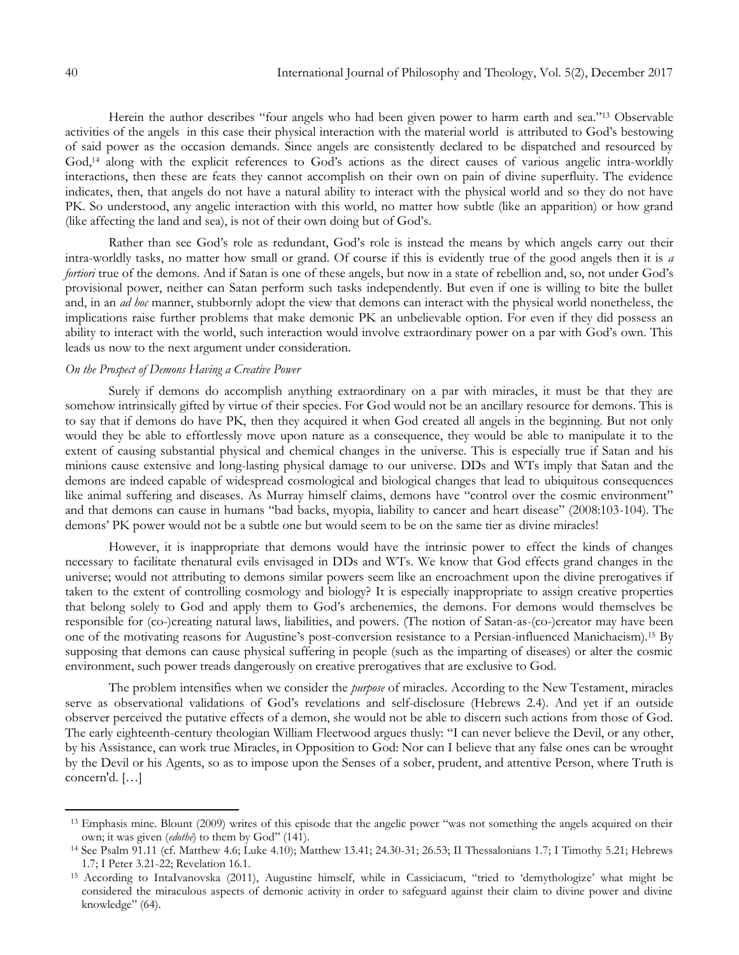Herein the author describes "four angels who had been given power to harm earth and sea."<sup>13</sup> Observable activities of the angels in this case their physical interaction with the material world is attributed to God"s bestowing of said power as the occasion demands. Since angels are consistently declared to be dispatched and resourced by God,<sup>14</sup> along with the explicit references to God's actions as the direct causes of various angelic intra-worldly interactions, then these are feats they cannot accomplish on their own on pain of divine superfluity. The evidence indicates, then, that angels do not have a natural ability to interact with the physical world and so they do not have PK. So understood, any angelic interaction with this world, no matter how subtle (like an apparition) or how grand (like affecting the land and sea), is not of their own doing but of God's.

Rather than see God's role as redundant, God's role is instead the means by which angels carry out their intra-worldly tasks, no matter how small or grand. Of course if this is evidently true of the good angels then it is *a fortiori* true of the demons. And if Satan is one of these angels, but now in a state of rebellion and, so, not under God's provisional power, neither can Satan perform such tasks independently. But even if one is willing to bite the bullet and, in an *ad hoc* manner, stubbornly adopt the view that demons can interact with the physical world nonetheless, the implications raise further problems that make demonic PK an unbelievable option. For even if they did possess an ability to interact with the world, such interaction would involve extraordinary power on a par with God's own. This leads us now to the next argument under consideration.

# *On the Prospect of Demons Having a Creative Power*

Surely if demons do accomplish anything extraordinary on a par with miracles, it must be that they are somehow intrinsically gifted by virtue of their species. For God would not be an ancillary resource for demons. This is to say that if demons do have PK, then they acquired it when God created all angels in the beginning. But not only would they be able to effortlessly move upon nature as a consequence, they would be able to manipulate it to the extent of causing substantial physical and chemical changes in the universe. This is especially true if Satan and his minions cause extensive and long-lasting physical damage to our universe. DDs and WTs imply that Satan and the demons are indeed capable of widespread cosmological and biological changes that lead to ubiquitous consequences like animal suffering and diseases. As Murray himself claims, demons have "control over the cosmic environment" and that demons can cause in humans "bad backs, myopia, liability to cancer and heart disease" (2008:103-104). The demons" PK power would not be a subtle one but would seem to be on the same tier as divine miracles!

However, it is inappropriate that demons would have the intrinsic power to effect the kinds of changes necessary to facilitate thenatural evils envisaged in DDs and WTs. We know that God effects grand changes in the universe; would not attributing to demons similar powers seem like an encroachment upon the divine prerogatives if taken to the extent of controlling cosmology and biology? It is especially inappropriate to assign creative properties that belong solely to God and apply them to God"s archenemies, the demons. For demons would themselves be responsible for (co-)creating natural laws, liabilities, and powers. (The notion of Satan-as-(co-)creator may have been one of the motivating reasons for Augustine"s post-conversion resistance to a Persian-influenced Manichaeism).<sup>15</sup> By supposing that demons can cause physical suffering in people (such as the imparting of diseases) or alter the cosmic environment, such power treads dangerously on creative prerogatives that are exclusive to God.

The problem intensifies when we consider the *purpose* of miracles. According to the New Testament, miracles serve as observational validations of God"s revelations and self-disclosure (Hebrews 2.4). And yet if an outside observer perceived the putative effects of a demon, she would not be able to discern such actions from those of God. The early eighteenth-century theologian William Fleetwood argues thusly: "I can never believe the Devil, or any other, by his Assistance, can work true Miracles, in Opposition to God: Nor can I believe that any false ones can be wrought by the Devil or his Agents, so as to impose upon the Senses of a sober, prudent, and attentive Person, where Truth is concern'd. […]

 $\overline{a}$ 

<sup>&</sup>lt;sup>13</sup> Emphasis mine. Blount (2009) writes of this episode that the angelic power "was not something the angels acquired on their own; it was given (*edothē*) to them by God" (141).

<sup>14</sup> See Psalm 91.11 (cf. Matthew 4.6; Luke 4.10); Matthew 13.41; 24.30-31; 26.53; II Thessalonians 1.7; I Timothy 5.21; Hebrews 1.7; I Peter 3.21-22; Revelation 16.1.

<sup>15</sup> According to IntaIvanovska (2011), Augustine himself, while in Cassiciacum, "tried to "demythologize" what might be considered the miraculous aspects of demonic activity in order to safeguard against their claim to divine power and divine knowledge" (64).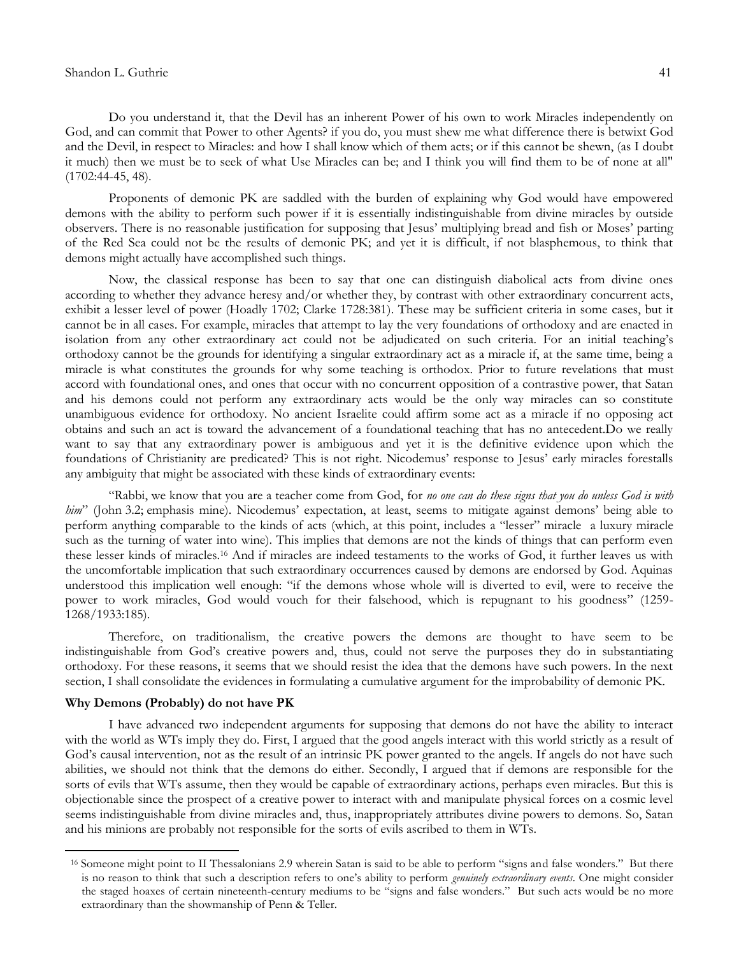#### Shandon L. Guthrie 41

Do you understand it, that the Devil has an inherent Power of his own to work Miracles independently on God, and can commit that Power to other Agents? if you do, you must shew me what difference there is betwixt God and the Devil, in respect to Miracles: and how I shall know which of them acts; or if this cannot be shewn, (as I doubt it much) then we must be to seek of what Use Miracles can be; and I think you will find them to be of none at all" (1702:44-45, 48).

Proponents of demonic PK are saddled with the burden of explaining why God would have empowered demons with the ability to perform such power if it is essentially indistinguishable from divine miracles by outside observers. There is no reasonable justification for supposing that Jesus" multiplying bread and fish or Moses" parting of the Red Sea could not be the results of demonic PK; and yet it is difficult, if not blasphemous, to think that demons might actually have accomplished such things.

Now, the classical response has been to say that one can distinguish diabolical acts from divine ones according to whether they advance heresy and/or whether they, by contrast with other extraordinary concurrent acts, exhibit a lesser level of power (Hoadly 1702; Clarke 1728:381). These may be sufficient criteria in some cases, but it cannot be in all cases. For example, miracles that attempt to lay the very foundations of orthodoxy and are enacted in isolation from any other extraordinary act could not be adjudicated on such criteria. For an initial teaching"s orthodoxy cannot be the grounds for identifying a singular extraordinary act as a miracle if, at the same time, being a miracle is what constitutes the grounds for why some teaching is orthodox. Prior to future revelations that must accord with foundational ones, and ones that occur with no concurrent opposition of a contrastive power, that Satan and his demons could not perform any extraordinary acts would be the only way miracles can so constitute unambiguous evidence for orthodoxy. No ancient Israelite could affirm some act as a miracle if no opposing act obtains and such an act is toward the advancement of a foundational teaching that has no antecedent.Do we really want to say that any extraordinary power is ambiguous and yet it is the definitive evidence upon which the foundations of Christianity are predicated? This is not right. Nicodemus" response to Jesus" early miracles forestalls any ambiguity that might be associated with these kinds of extraordinary events:

"Rabbi, we know that you are a teacher come from God, for *no one can do these signs that you do unless God is with him*" (John 3.2; emphasis mine). Nicodemus' expectation, at least, seems to mitigate against demons' being able to perform anything comparable to the kinds of acts (which, at this point, includes a "lesser" miracle a luxury miracle such as the turning of water into wine). This implies that demons are not the kinds of things that can perform even these lesser kinds of miracles.<sup>16</sup> And if miracles are indeed testaments to the works of God, it further leaves us with the uncomfortable implication that such extraordinary occurrences caused by demons are endorsed by God. Aquinas understood this implication well enough: "if the demons whose whole will is diverted to evil, were to receive the power to work miracles, God would vouch for their falsehood, which is repugnant to his goodness" (1259- 1268/1933:185).

Therefore, on traditionalism, the creative powers the demons are thought to have seem to be indistinguishable from God"s creative powers and, thus, could not serve the purposes they do in substantiating orthodoxy. For these reasons, it seems that we should resist the idea that the demons have such powers. In the next section, I shall consolidate the evidences in formulating a cumulative argument for the improbability of demonic PK.

# **Why Demons (Probably) do not have PK**

 $\overline{a}$ 

I have advanced two independent arguments for supposing that demons do not have the ability to interact with the world as WTs imply they do. First, I argued that the good angels interact with this world strictly as a result of God"s causal intervention, not as the result of an intrinsic PK power granted to the angels. If angels do not have such abilities, we should not think that the demons do either. Secondly, I argued that if demons are responsible for the sorts of evils that WTs assume, then they would be capable of extraordinary actions, perhaps even miracles. But this is objectionable since the prospect of a creative power to interact with and manipulate physical forces on a cosmic level seems indistinguishable from divine miracles and, thus, inappropriately attributes divine powers to demons. So, Satan and his minions are probably not responsible for the sorts of evils ascribed to them in WTs.

<sup>&</sup>lt;sup>16</sup> Someone might point to II Thessalonians 2.9 wherein Satan is said to be able to perform "signs and false wonders." But there is no reason to think that such a description refers to one"s ability to perform *genuinely extraordinary events*. One might consider the staged hoaxes of certain nineteenth-century mediums to be "signs and false wonders." But such acts would be no more extraordinary than the showmanship of Penn & Teller.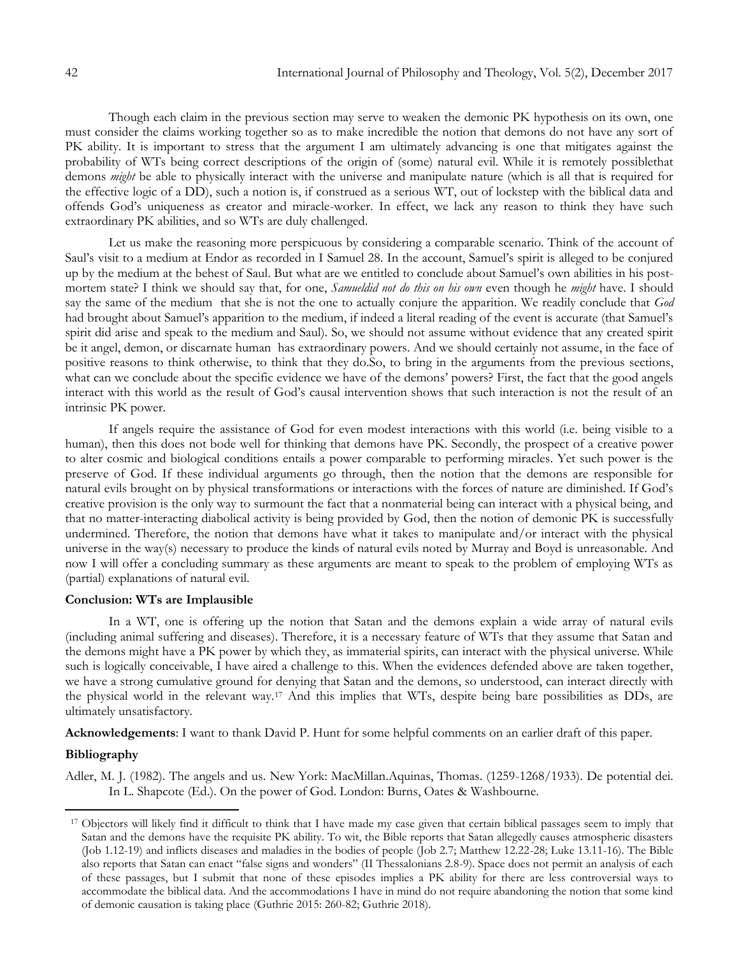Though each claim in the previous section may serve to weaken the demonic PK hypothesis on its own, one must consider the claims working together so as to make incredible the notion that demons do not have any sort of PK ability. It is important to stress that the argument I am ultimately advancing is one that mitigates against the probability of WTs being correct descriptions of the origin of (some) natural evil. While it is remotely possiblethat demons *might* be able to physically interact with the universe and manipulate nature (which is all that is required for the effective logic of a DD), such a notion is, if construed as a serious WT, out of lockstep with the biblical data and offends God"s uniqueness as creator and miracle-worker. In effect, we lack any reason to think they have such extraordinary PK abilities, and so WTs are duly challenged.

Let us make the reasoning more perspicuous by considering a comparable scenario. Think of the account of Saul"s visit to a medium at Endor as recorded in I Samuel 28. In the account, Samuel"s spirit is alleged to be conjured up by the medium at the behest of Saul. But what are we entitled to conclude about Samuel"s own abilities in his postmortem state? I think we should say that, for one, *Samueldid not do this on his own* even though he *might* have. I should say the same of the medium that she is not the one to actually conjure the apparition. We readily conclude that *God*  had brought about Samuel's apparition to the medium, if indeed a literal reading of the event is accurate (that Samuel's spirit did arise and speak to the medium and Saul). So, we should not assume without evidence that any created spirit be it angel, demon, or discarnate human has extraordinary powers. And we should certainly not assume, in the face of positive reasons to think otherwise, to think that they do.So, to bring in the arguments from the previous sections, what can we conclude about the specific evidence we have of the demons' powers? First, the fact that the good angels interact with this world as the result of God"s causal intervention shows that such interaction is not the result of an intrinsic PK power.

If angels require the assistance of God for even modest interactions with this world (i.e. being visible to a human), then this does not bode well for thinking that demons have PK. Secondly, the prospect of a creative power to alter cosmic and biological conditions entails a power comparable to performing miracles. Yet such power is the preserve of God. If these individual arguments go through, then the notion that the demons are responsible for natural evils brought on by physical transformations or interactions with the forces of nature are diminished. If God"s creative provision is the only way to surmount the fact that a nonmaterial being can interact with a physical being, and that no matter-interacting diabolical activity is being provided by God, then the notion of demonic PK is successfully undermined. Therefore, the notion that demons have what it takes to manipulate and/or interact with the physical universe in the way(s) necessary to produce the kinds of natural evils noted by Murray and Boyd is unreasonable. And now I will offer a concluding summary as these arguments are meant to speak to the problem of employing WTs as (partial) explanations of natural evil.

# **Conclusion: WTs are Implausible**

In a WT, one is offering up the notion that Satan and the demons explain a wide array of natural evils (including animal suffering and diseases). Therefore, it is a necessary feature of WTs that they assume that Satan and the demons might have a PK power by which they, as immaterial spirits, can interact with the physical universe. While such is logically conceivable, I have aired a challenge to this. When the evidences defended above are taken together, we have a strong cumulative ground for denying that Satan and the demons, so understood, can interact directly with the physical world in the relevant way.<sup>17</sup> And this implies that WTs, despite being bare possibilities as DDs, are ultimately unsatisfactory.

**Acknowledgements**: I want to thank David P. Hunt for some helpful comments on an earlier draft of this paper.

# **Bibliography**

 $\overline{a}$ 

Adler, M. J. (1982). The angels and us. New York: MacMillan.Aquinas, Thomas. (1259-1268/1933). De potential dei. In L. Shapcote (Ed.). On the power of God. London: Burns, Oates & Washbourne.

<sup>&</sup>lt;sup>17</sup> Objectors will likely find it difficult to think that I have made my case given that certain biblical passages seem to imply that Satan and the demons have the requisite PK ability. To wit, the Bible reports that Satan allegedly causes atmospheric disasters (Job 1.12-19) and inflicts diseases and maladies in the bodies of people (Job 2.7; Matthew 12.22-28; Luke 13.11-16). The Bible also reports that Satan can enact "false signs and wonders" (II Thessalonians 2.8-9). Space does not permit an analysis of each of these passages, but I submit that none of these episodes implies a PK ability for there are less controversial ways to accommodate the biblical data. And the accommodations I have in mind do not require abandoning the notion that some kind of demonic causation is taking place (Guthrie 2015: 260-82; Guthrie 2018).